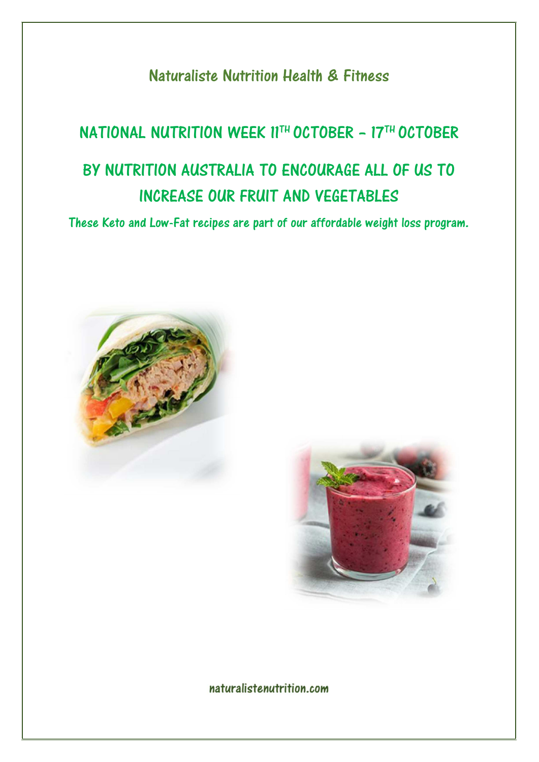Naturaliste Nutrition Health & Fitness

# NATIONAL NUTRITION WEEK 11TH OCTOBER – 17TH OCTOBER BY NUTRITION AUSTRALIA TO ENCOURAGE ALL OF US TO INCREASE OUR FRUIT AND VEGETABLES

These Keto and Low-Fat recipes are part of our affordable weight loss program.





# naturalistenutrition.com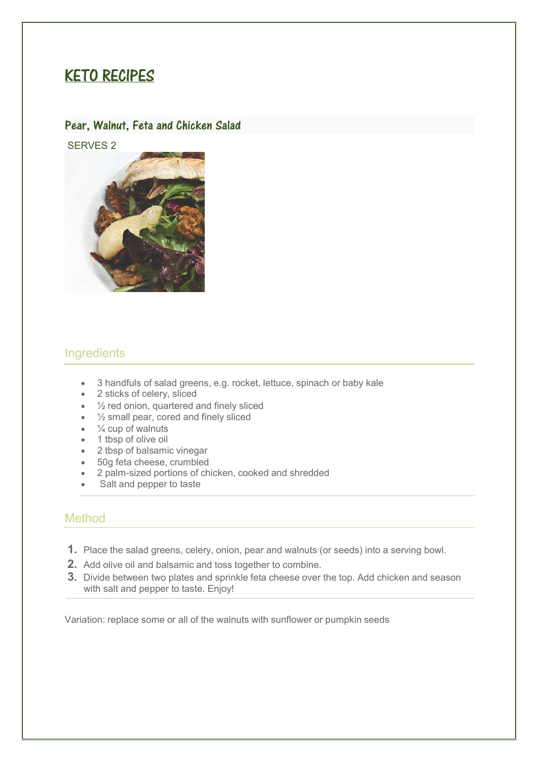# KETO RECIPES

#### Pear, Walnut, Feta and Chicken Salad

SERVES 2



## **Ingredients**

- 3 handfuls of salad greens, e.g. rocket, lettuce, spinach or baby kale
- 2 sticks of celery, sliced
- 1/2 red onion, quartered and finely sliced
- $\bullet$   $\frac{1}{2}$  small pear, cored and finely sliced
- $\bullet$   $\frac{1}{4}$  cup of walnuts
- 1 tbsp of olive oil
- 2 tbsp of balsamic vinegar
- 50g feta cheese, crumbled
- 2 palm-sized portions of chicken, cooked and shredded
- Salt and pepper to taste

#### Method

- **1.** Place the salad greens, celery, onion, pear and walnuts (or seeds) into a serving bowl.
- **2.** Add olive oil and balsamic and toss together to combine.
- **3.** Divide between two plates and sprinkle feta cheese over the top. Add chicken and season with salt and pepper to taste. Enjoy!

Variation: replace some or all of the walnuts with sunflower or pumpkin seeds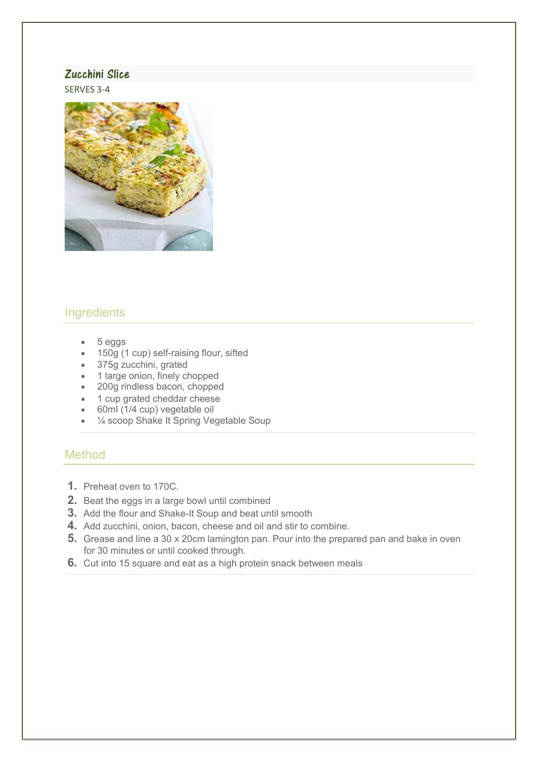#### Zucchini Slice

SERVES 3-4



# **Ingredients**

- 5 eggs
- 150g (1 cup) self-raising flour, sifted
- 375g zucchini, grated
- 1 large onion, finely chopped
- 200g rindless bacon, chopped
- 1 cup grated cheddar cheese
- 60ml (1/4 cup) vegetable oil
- ¼ scoop Shake It Spring Vegetable Soup

- **1.** Preheat oven to 170C.
- **2.** Beat the eggs in a large bowl until combined
- **3.** Add the flour and Shake-It Soup and beat until smooth
- **4.** Add zucchini, onion, bacon, cheese and oil and stir to combine.
- **5.** Grease and line a 30 x 20cm lamington pan. Pour into the prepared pan and bake in oven for 30 minutes or until cooked through.
- **6.** Cut into 15 square and eat as a high protein snack between meals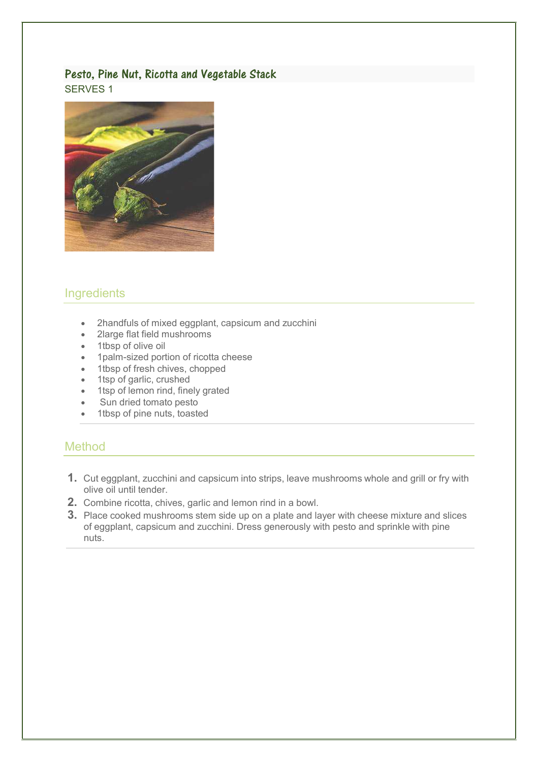#### Pesto, Pine Nut, Ricotta and Vegetable Stack SERVES 1



# **Ingredients**

- 2handfuls of mixed eggplant, capsicum and zucchini
- 2large flat field mushrooms
- 1tbsp of olive oil
- 1palm-sized portion of ricotta cheese
- 1tbsp of fresh chives, chopped
- 1tsp of garlic, crushed
- 1tsp of lemon rind, finely grated
- Sun dried tomato pesto
- 1tbsp of pine nuts, toasted

- **1.** Cut eggplant, zucchini and capsicum into strips, leave mushrooms whole and grill or fry with olive oil until tender.
- **2.** Combine ricotta, chives, garlic and lemon rind in a bowl.
- **3.** Place cooked mushrooms stem side up on a plate and layer with cheese mixture and slices of eggplant, capsicum and zucchini. Dress generously with pesto and sprinkle with pine nuts.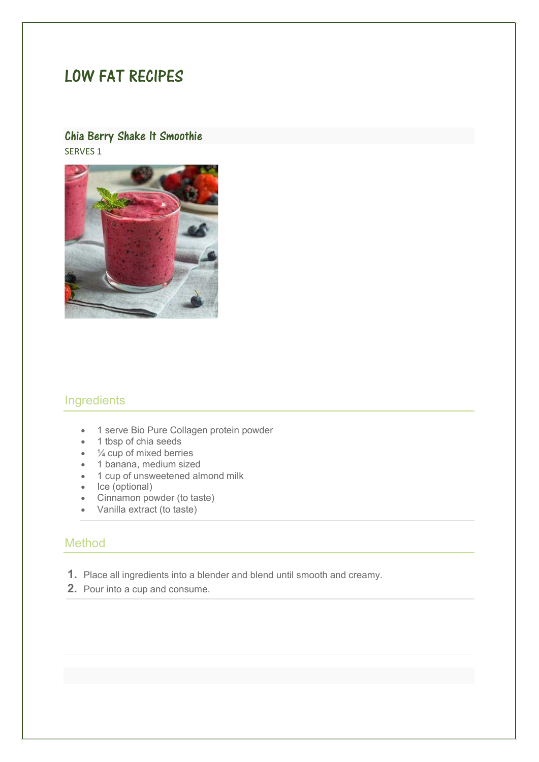# LOW FAT RECIPES

#### Chia Berry Shake It Smoothie SERVES 1



#### **Ingredients**

- 1 serve Bio Pure Collagen protein powder
- 1 tbsp of chia seeds
- $\bullet$   $\frac{1}{4}$  cup of mixed berries
- 1 banana, medium sized
- 1 cup of unsweetened almond milk
- Ice (optional)
- Cinnamon powder (to taste)
- Vanilla extract (to taste)

- **1.** Place all ingredients into a blender and blend until smooth and creamy.
- **2.** Pour into a cup and consume.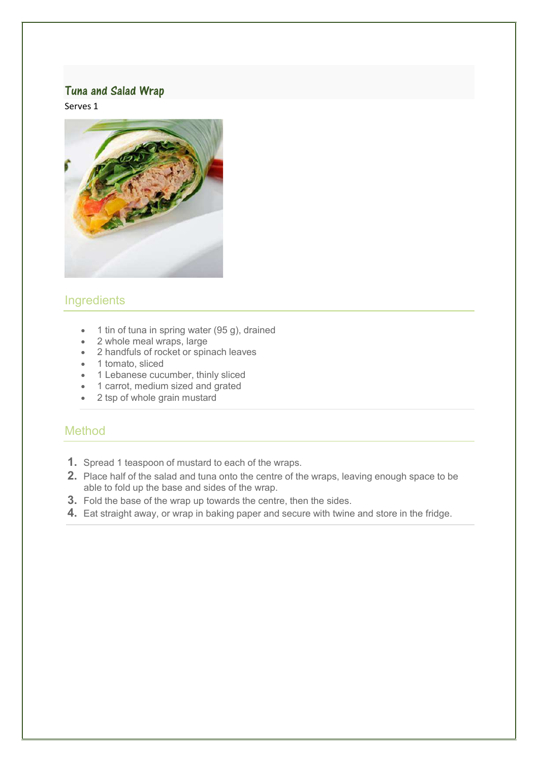## Tuna and Salad Wrap

Serves 1



# **Ingredients**

- 1 tin of tuna in spring water (95 g), drained
- 2 whole meal wraps, large
- 2 handfuls of rocket or spinach leaves
- 1 tomato, sliced
- 1 Lebanese cucumber, thinly sliced
- 1 carrot, medium sized and grated
- 2 tsp of whole grain mustard

- **1.** Spread 1 teaspoon of mustard to each of the wraps.
- **2.** Place half of the salad and tuna onto the centre of the wraps, leaving enough space to be able to fold up the base and sides of the wrap.
- **3.** Fold the base of the wrap up towards the centre, then the sides.
- **4.** Eat straight away, or wrap in baking paper and secure with twine and store in the fridge.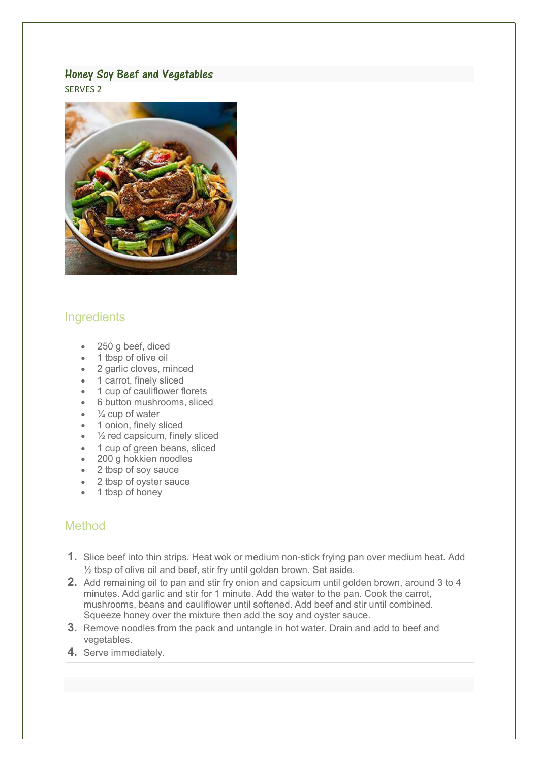#### Honey Soy Beef and Vegetables

SERVES 2



#### **Ingredients**

- 250 g beef, diced
- 1 tbsp of olive oil
- 2 garlic cloves, minced
- 1 carrot, finely sliced
- 1 cup of cauliflower florets
- 6 button mushrooms, sliced
- $\frac{1}{4}$  cup of water
- 1 onion, finely sliced
- $\frac{1}{2}$  red capsicum, finely sliced
- 1 cup of green beans, sliced
- 200 g hokkien noodles
- 2 tbsp of soy sauce
- 2 tbsp of oyster sauce
- 1 tbsp of honey

- **1.** Slice beef into thin strips. Heat wok or medium non-stick frying pan over medium heat. Add ½ tbsp of olive oil and beef, stir fry until golden brown. Set aside.
- **2.** Add remaining oil to pan and stir fry onion and capsicum until golden brown, around 3 to 4 minutes. Add garlic and stir for 1 minute. Add the water to the pan. Cook the carrot, mushrooms, beans and cauliflower until softened. Add beef and stir until combined. Squeeze honey over the mixture then add the soy and oyster sauce.
- **3.** Remove noodles from the pack and untangle in hot water. Drain and add to beef and vegetables.
- **4.** Serve immediately.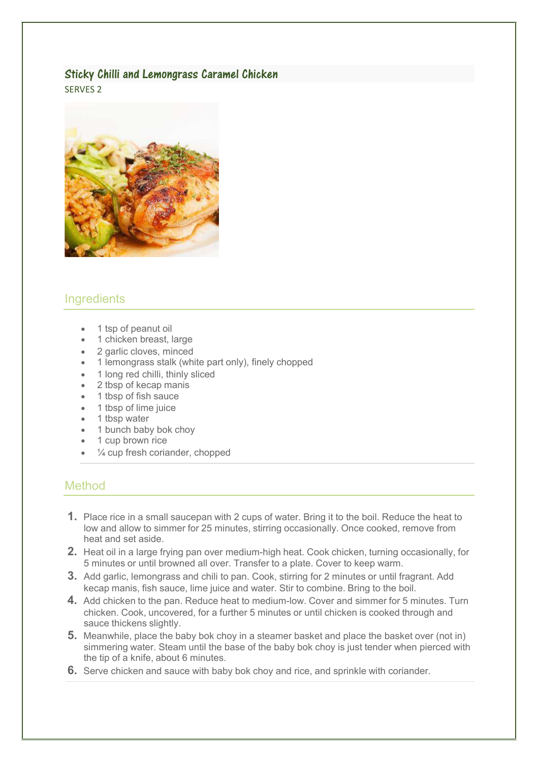# Sticky Chilli and Lemongrass Caramel Chicken

SERVES 2



# **Ingredients**

- 1 tsp of peanut oil
- 1 chicken breast, large
- 2 garlic cloves, minced
- 1 lemongrass stalk (white part only), finely chopped
- 1 long red chilli, thinly sliced
- 2 tbsp of kecap manis
- 1 tbsp of fish sauce
- 1 tbsp of lime juice
- 1 tbsp water
- 1 bunch baby bok choy
- 1 cup brown rice
- $\frac{1}{4}$  cup fresh coriander, chopped

- **1.** Place rice in a small saucepan with 2 cups of water. Bring it to the boil. Reduce the heat to low and allow to simmer for 25 minutes, stirring occasionally. Once cooked, remove from heat and set aside.
- **2.** Heat oil in a large frying pan over medium-high heat. Cook chicken, turning occasionally, for 5 minutes or until browned all over. Transfer to a plate. Cover to keep warm.
- **3.** Add garlic, lemongrass and chili to pan. Cook, stirring for 2 minutes or until fragrant. Add kecap manis, fish sauce, lime juice and water. Stir to combine. Bring to the boil.
- **4.** Add chicken to the pan. Reduce heat to medium-low. Cover and simmer for 5 minutes. Turn chicken. Cook, uncovered, for a further 5 minutes or until chicken is cooked through and sauce thickens slightly.
- **5.** Meanwhile, place the baby bok choy in a steamer basket and place the basket over (not in) simmering water. Steam until the base of the baby bok choy is just tender when pierced with the tip of a knife, about 6 minutes.
- **6.** Serve chicken and sauce with baby bok choy and rice, and sprinkle with coriander.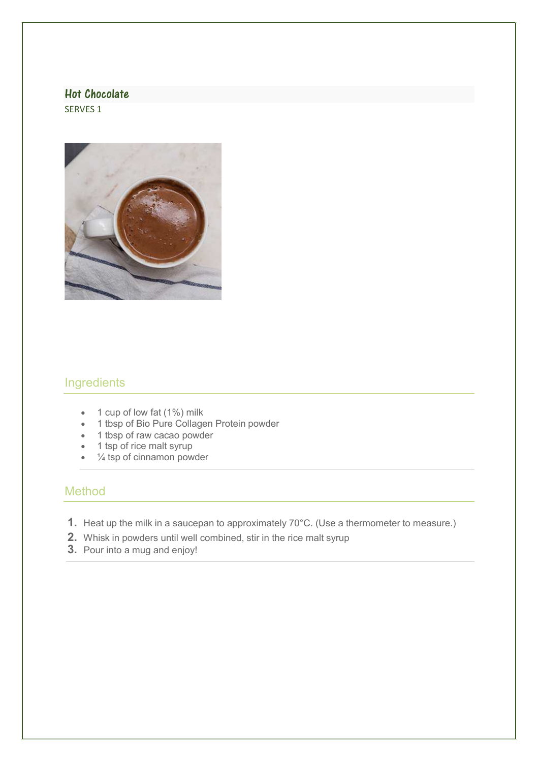#### Hot Chocolate

SERVES 1



# **Ingredients**

- 1 cup of low fat (1%) milk
- 1 tbsp of Bio Pure Collagen Protein powder
- 1 tbsp of raw cacao powder
- 1 tsp of rice malt syrup
- ¼ tsp of cinnamon powder

- **1.** Heat up the milk in a saucepan to approximately 70°C. (Use a thermometer to measure.)
- **2.** Whisk in powders until well combined, stir in the rice malt syrup
- **3.** Pour into a mug and enjoy!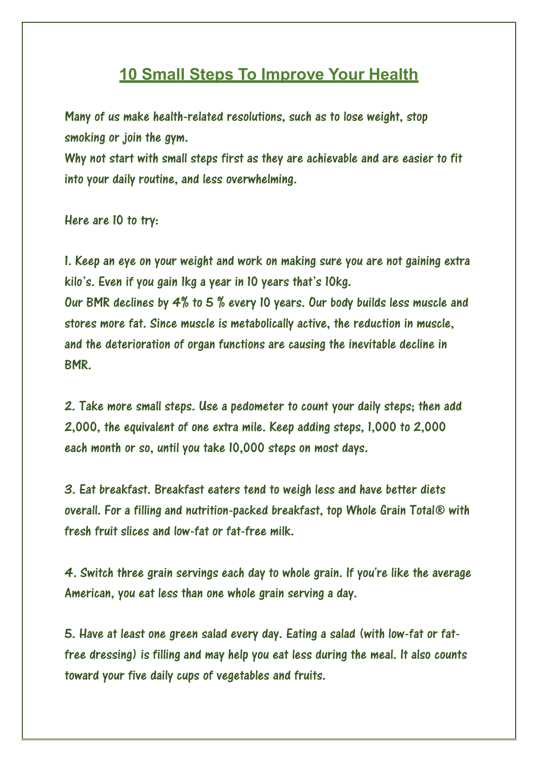# **10 Small Steps To Improve Your Health**

Many of us make health-related resolutions, such as to lose weight, stop smoking or join the gym.

Why not start with small steps first as they are achievable and are easier to fit into your daily routine, and less overwhelming.

Here are 10 to try:

1. Keep an eye on your weight and work on making sure you are not gaining extra kilo's. Even if you gain 1kg a year in 10 years that's 10kg. Our BMR declines by 4% to 5 % every 10 years. Our body builds less muscle and stores more fat. Since muscle is metabolically active, the reduction in muscle, and the deterioration of organ functions are causing the inevitable decline in BMR.

2. Take more small steps. Use a pedometer to count your daily steps; then add 2,000, the equivalent of one extra mile. Keep adding steps, 1,000 to 2,000 each month or so, until you take 10,000 steps on most days.

3. Eat breakfast. Breakfast eaters tend to weigh less and have better diets overall. For a filling and nutrition-packed breakfast, top Whole Grain Total® with fresh fruit slices and low-fat or fat-free milk.

4. Switch three grain servings each day to whole grain. If you're like the average American, you eat less than one whole grain serving a day.

5. Have at least one green salad every day. Eating a salad (with low-fat or fatfree dressing) is filling and may help you eat less during the meal. It also counts toward your five daily cups of vegetables and fruits.